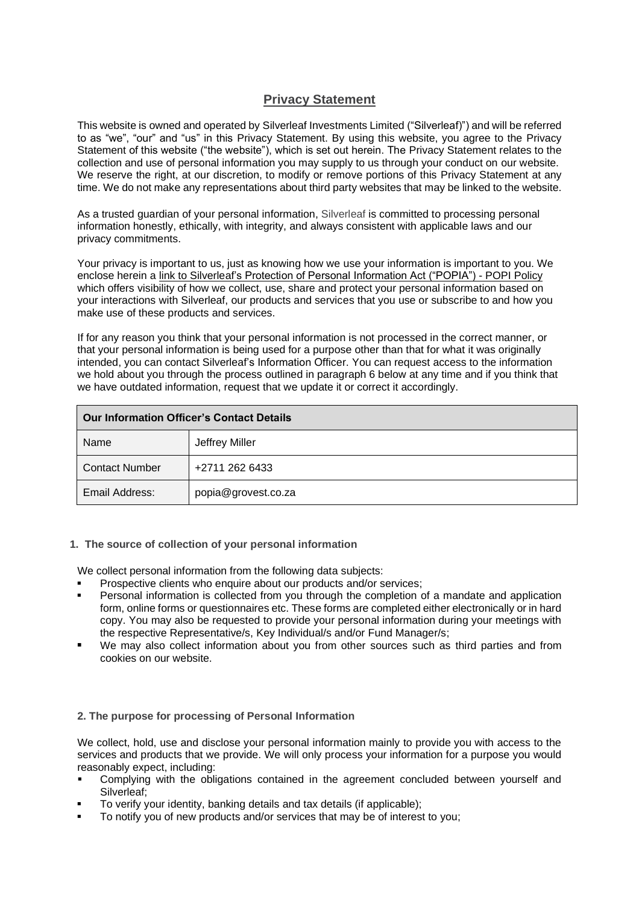# **Privacy Statement**

This website is owned and operated by Silverleaf Investments Limited ("Silverleaf)") and will be referred to as "we", "our" and "us" in this Privacy Statement. By using this website, you agree to the Privacy Statement of this website ("the website"), which is set out herein. The Privacy Statement relates to the collection and use of personal information you may supply to us through your conduct on our website. We reserve the right, at our discretion, to modify or remove portions of this Privacy Statement at any time. We do not make any representations about third party websites that may be linked to the website.

As a trusted guardian of your personal information, Silverleaf is committed to processing personal information honestly, ethically, with integrity, and always consistent with applicable laws and our privacy commitments.

Your privacy is important to us, just as knowing how we use your information is important to you. We enclose herein a link to Silverleaf's Protection of Personal Information Act ("POPIA") - POPI Policy which offers visibility of how we collect, use, share and protect your personal information based on your interactions with Silverleaf, our products and services that you use or subscribe to and how you make use of these products and services.

If for any reason you think that your personal information is not processed in the correct manner, or that your personal information is being used for a purpose other than that for what it was originally intended, you can contact Silverleaf's Information Officer. You can request access to the information we hold about you through the process outlined in paragraph 6 below at any time and if you think that we have outdated information, request that we update it or correct it accordingly.

| <b>Our Information Officer's Contact Details</b> |                     |
|--------------------------------------------------|---------------------|
| Name                                             | Jeffrey Miller      |
| <b>Contact Number</b>                            | +2711 262 6433      |
| Email Address:                                   | popia@grovest.co.za |

#### **1. The source of collection of your personal information**

We collect personal information from the following data subjects:

- Prospective clients who enquire about our products and/or services;
- Personal information is collected from you through the completion of a mandate and application form, online forms or questionnaires etc. These forms are completed either electronically or in hard copy. You may also be requested to provide your personal information during your meetings with the respective Representative/s, Key Individual/s and/or Fund Manager/s;
- We mav also collect information about you from other sources such as third parties and from cookies on our website.

#### **2. The purpose for processing of Personal Information**

We collect, hold, use and disclose your personal information mainly to provide you with access to the services and products that we provide. We will only process your information for a purpose you would reasonably expect, including:

- Complying with the obligations contained in the agreement concluded between yourself and Silverleaf;
- To verify your identity, banking details and tax details (if applicable);
- To notify you of new products and/or services that may be of interest to you;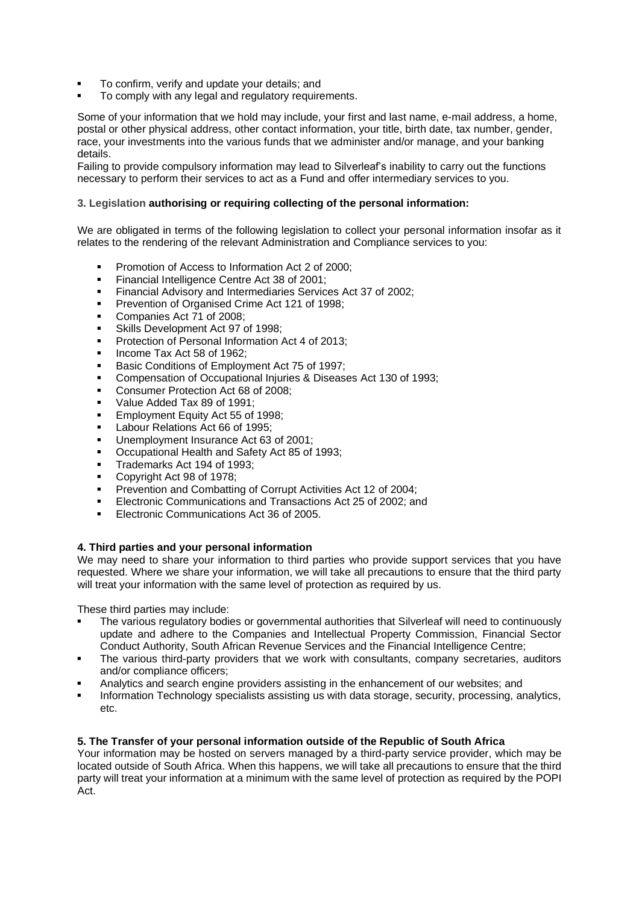- To confirm, verify and update your details; and
- To comply with any legal and regulatory requirements.

Some of your information that we hold may include, your first and last name, e-mail address, a home, postal or other physical address, other contact information, your title, birth date, tax number, gender, race, your investments into the various funds that we administer and/or manage, and your banking details.

Failing to provide compulsory information may lead to Silverleaf's inability to carry out the functions necessary to perform their services to act as a Fund and offer intermediary services to you.

#### **3. Legislation authorising or requiring collecting of the personal information:**

We are obligated in terms of the following legislation to collect your personal information insofar as it relates to the rendering of the relevant Administration and Compliance services to you:

- Promotion of Access to Information Act 2 of 2000;
- **EXECUTE:** Financial Intelligence Centre Act 38 of 2001;
- Financial Advisory and Intermediaries Services Act 37 of 2002;
- Prevention of Organised Crime Act 121 of 1998:
- Companies Act 71 of 2008:
- Skills Development Act 97 of 1998:
- Protection of Personal Information Act 4 of 2013;
- Income Tax Act 58 of 1962:
- Basic Conditions of Employment Act 75 of 1997;
- Compensation of Occupational Injuries & Diseases Act 130 of 1993;
- Consumer Protection Act 68 of 2008;
- Value Added Tax 89 of 1991:
- **Employment Equity Act 55 of 1998;**
- Labour Relations Act 66 of 1995;
- Unemployment Insurance Act 63 of 2001:
- Occupational Health and Safety Act 85 of 1993;
- Trademarks Act 194 of 1993;
- Copyright Act 98 of 1978:
- **Prevention and Combatting of Corrupt Activities Act 12 of 2004;**
- Electronic Communications and Transactions Act 25 of 2002; and
- Electronic Communications Act 36 of 2005.

#### **4. Third parties and your personal information**

We may need to share your information to third parties who provide support services that you have requested. Where we share your information, we will take all precautions to ensure that the third party will treat your information with the same level of protection as required by us.

These third parties may include:

- The various regulatory bodies or governmental authorities that Silverleaf will need to continuously update and adhere to the Companies and Intellectual Property Commission, Financial Sector Conduct Authority, South African Revenue Services and the Financial Intelligence Centre;
- The various third-party providers that we work with consultants, company secretaries, auditors and/or compliance officers;
- Analytics and search engine providers assisting in the enhancement of our websites; and
- Information Technology specialists assisting us with data storage, security, processing, analytics, etc.

#### **5. The Transfer of your personal information outside of the Republic of South Africa**

Your information may be hosted on servers managed by a third-party service provider, which may be located outside of South Africa. When this happens, we will take all precautions to ensure that the third party will treat your information at a minimum with the same level of protection as required by the POPI Act.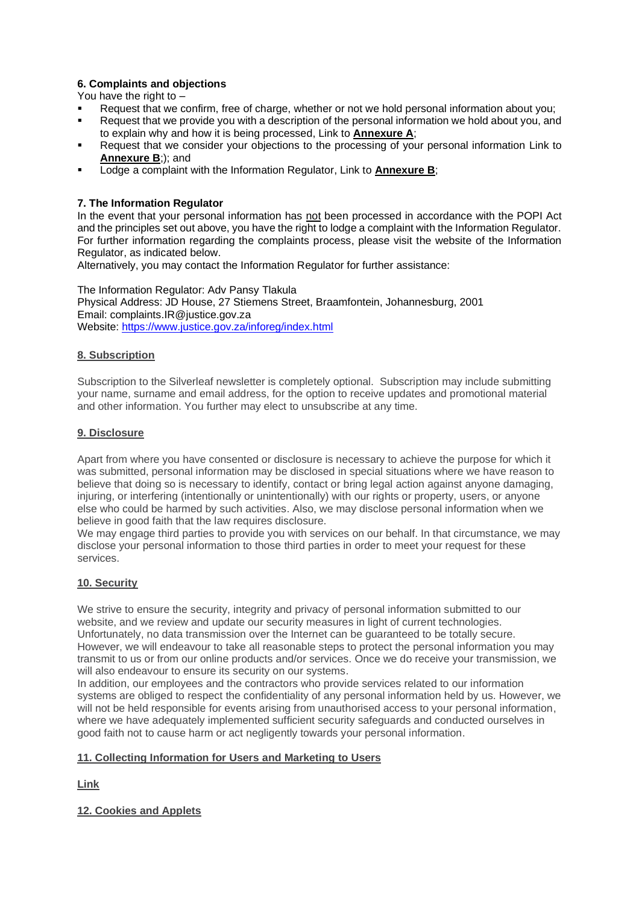# **6. Complaints and objections**

You have the right to –

- Request that we confirm, free of charge, whether or not we hold personal information about you;
- Request that we provide you with a description of the personal information we hold about you, and to explain why and how it is being processed, Link to **Annexure A**;
- Request that we consider your objections to the processing of your personal information Link to **Annexure B**;); and
- Lodge a complaint with the Information Regulator, Link to **Annexure B**;

# **7. The Information Regulator**

In the event that your personal information has not been processed in accordance with the POPI Act and the principles set out above, you have the right to lodge a complaint with the Information Regulator. For further information regarding the complaints process, please visit the website of the Information Regulator, as indicated below.

Alternatively, you may contact the Information Regulator for further assistance:

The Information Regulator: Adv Pansy Tlakula Physical Address: JD House, 27 Stiemens Street, Braamfontein, Johannesburg, 2001 Email: complaints.IR@justice.gov.za Website:<https://www.justice.gov.za/inforeg/index.html>

### **8. Subscription**

Subscription to the Silverleaf newsletter is completely optional. Subscription may include submitting your name, surname and email address, for the option to receive updates and promotional material and other information. You further may elect to unsubscribe at any time.

### **9. Disclosure**

Apart from where you have consented or disclosure is necessary to achieve the purpose for which it was submitted, personal information may be disclosed in special situations where we have reason to believe that doing so is necessary to identify, contact or bring legal action against anyone damaging, injuring, or interfering (intentionally or unintentionally) with our rights or property, users, or anyone else who could be harmed by such activities. Also, we may disclose personal information when we believe in good faith that the law requires disclosure.

We may engage third parties to provide you with services on our behalf. In that circumstance, we may disclose your personal information to those third parties in order to meet your request for these services.

# **10. Security**

We strive to ensure the security, integrity and privacy of personal information submitted to our website, and we review and update our security measures in light of current technologies. Unfortunately, no data transmission over the Internet can be guaranteed to be totally secure. However, we will endeavour to take all reasonable steps to protect the personal information you may transmit to us or from our online products and/or services. Once we do receive your transmission, we will also endeavour to ensure its security on our systems.

In addition, our employees and the contractors who provide services related to our information systems are obliged to respect the confidentiality of any personal information held by us. However, we will not be held responsible for events arising from unauthorised access to your personal information, where we have adequately implemented sufficient security safeguards and conducted ourselves in good faith not to cause harm or act negligently towards your personal information.

# **11. Collecting Information for Users and Marketing to Users**

**Link**

### **12. Cookies and Applets**